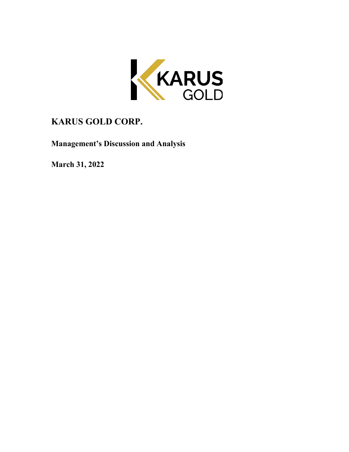

# **KARUS GOLD CORP.**

**Management's Discussion and Analysis**

**March 31, 2022**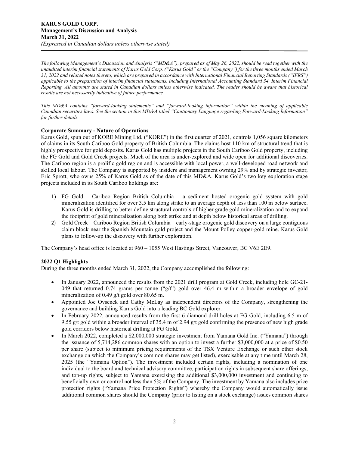*The following Management's Discussion and Analysis ("MD&A"), prepared as of May 26, 2022, should be read together with the unaudited interim financial statements of Karus Gold Corp. ("Karus Gold" or the "Company") for the three months ended March 31, 2022 and related notes thereto, which are prepared in accordance with International Financial Reporting Standards ("IFRS") applicable to the preparation of interim financial statements, including International Accounting Standard 34, Interim Financial Reporting. All amounts are stated in Canadian dollars unless otherwise indicated. The reader should be aware that historical results are not necessarily indicative of future performance.*

*This MD&A contains "forward-looking statements" and "forward-looking information" within the meaning of applicable Canadian securities laws. See the section in this MD&A titled "Cautionary Language regarding Forward-Looking Information" for further details.* 

## **Corporate Summary - Nature of Operations**

Karus Gold, spun out of KORE Mining Ltd. ("KORE") in the first quarter of 2021, controls 1,056 square kilometers of claims in its South Cariboo Gold property of British Columbia. The claims host 110 km of structural trend that is highly prospective for gold deposits. Karus Gold has multiple projects in the South Cariboo Gold property, including the FG Gold and Gold Creek projects. Much of the area is under-explored and wide open for additional discoveries. The Cariboo region is a prolific gold region and is accessible with local power, a well-developed road network and skilled local labour. The Company is supported by insiders and management owning 29% and by strategic investor, Eric Sprott, who owns 25% of Karus Gold as of the date of this MD&A. Karus Gold's two key exploration stage projects included in its South Cariboo holdings are:

- 1) FG Gold Cariboo Region British Columbia a sediment hosted orogenic gold system with gold mineralization identified for over 3.5 km along strike to an average depth of less than 100 m below surface. Karus Gold is drilling to better define structural controls of higher grade gold mineralization and to expand the footprint of gold mineralization along both strike and at depth below historical areas of drilling.
- 2) Gold Creek Cariboo Region British Columbia early-stage orogenic gold discovery on a large contiguous claim block near the Spanish Mountain gold project and the Mount Polley copper-gold mine. Karus Gold plans to follow-up the discovery with further exploration.

The Company's head office is located at 960 – 1055 West Hastings Street, Vancouver, BC V6E 2E9.

# **2022 Q1 Highlights**

During the three months ended March 31, 2022, the Company accomplished the following:

- In January 2022, announced the results from the 2021 drill program at Gold Creek, including hole GC-21- 049 that returned 0.74 grams per tonne ("g/t") gold over 46.4 m within a broader envelope of gold mineralization of 0.49 g/t gold over 80.65 m.
- Appointed Joe Ovsenek and Cathy McLay as independent directors of the Company, strengthening the governance and building Karus Gold into a leading BC Gold explorer.
- In February 2022, announced results from the first 6 diamond drill holes at FG Gold, including 6.5 m of 9.55 g/t gold within a broader interval of 35.4 m of 2.94 g/t gold confirming the presence of new high grade gold corridors below historical drilling at FG Gold.
- In March 2022, completed a \$2,000,000 strategic investment from Yamana Gold Inc. ("Yamana") through the issuance of 5,714,286 common shares with an option to invest a further \$3,000,000 at a price of \$0.50 per share (subject to minimum pricing requirements of the TSX Venture Exchange or such other stock exchange on which the Company's common shares may get listed), exercisable at any time until March 28, 2025 (the "Yamana Option"). The investment included certain rights, including a nomination of one individual to the board and technical advisory committee, participation rights in subsequent share offerings, and top-up rights, subject to Yamana exercising the additional \$3,000,000 investment and continuing to beneficially own or control not less than 5% of the Company. The investment by Yamana also includes price protection rights ("Yamana Price Protection Rights") whereby the Company would automatically issue additional common shares should the Company (prior to listing on a stock exchange) issues common shares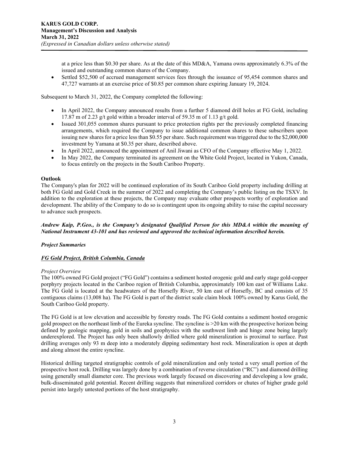at a price less than \$0.30 per share. As at the date of this MD&A, Yamana owns approximately 6.3% of the issued and outstanding common shares of the Company.

• Settled \$52,500 of accrued management services fees through the issuance of 95,454 common shares and 47,727 warrants at an exercise price of \$0.85 per common share expiring January 19, 2024.

Subsequent to March 31, 2022, the Company completed the following:

- In April 2022, the Company announced results from a further 5 diamond drill holes at FG Gold, including 17.87 m of 2.23 g/t gold within a broader interval of 59.35 m of 1.13 g/t gold.
- Issued 301,055 common shares pursuant to price protection rights per the previously completed financing arrangements, which required the Company to issue additional common shares to these subscribers upon issuing new shares for a price less than \$0.55 per share. Such requirement was triggered due to the \$2,000,000 investment by Yamana at \$0.35 per share, described above.
- In April 2022, announced the appointment of Anil Jiwani as CFO of the Company effective May 1, 2022.
- In May 2022, the Company terminated its agreement on the White Gold Project, located in Yukon, Canada, to focus entirely on the projects in the South Cariboo Property.

## **Outlook**

The Company's plan for 2022 will be continued exploration of its South Cariboo Gold property including drilling at both FG Gold and Gold Creek in the summer of 2022 and completing the Company's public listing on the TSXV. In addition to the exploration at these projects, the Company may evaluate other prospects worthy of exploration and development. The ability of the Company to do so is contingent upon its ongoing ability to raise the capital necessary to advance such prospects.

*Andrew Kaip, P.Geo., is the Company's designated Qualified Person for this MD&A within the meaning of National Instrument 43-101 and has reviewed and approved the technical information described herein.*

## *Project Summaries*

## *FG Gold Project, British Columbia, Canada*

#### *Project Overview*

The 100% owned FG Gold project ("FG Gold") contains a sediment hosted orogenic gold and early stage gold-copper porphyry projects located in the Cariboo region of British Columbia, approximately 100 km east of Williams Lake. The FG Gold is located at the headwaters of the Horsefly River, 50 km east of Horsefly, BC and consists of 35 contiguous claims (13,008 ha). The FG Gold is part of the district scale claim block 100% owned by Karus Gold, the South Cariboo Gold property.

The FG Gold is at low elevation and accessible by forestry roads. The FG Gold contains a sediment hosted orogenic gold prospect on the northeast limb of the Eureka syncline. The syncline is >20 km with the prospective horizon being defined by geologic mapping, gold in soils and geophysics with the southwest limb and hinge zone being largely underexplored. The Project has only been shallowly drilled where gold mineralization is proximal to surface. Past drilling averages only 93 m deep into a moderately dipping sedimentary host rock. Mineralization is open at depth and along almost the entire syncline.

Historical drilling targeted stratigraphic controls of gold mineralization and only tested a very small portion of the prospective host rock. Drilling was largely done by a combination of reverse circulation ("RC") and diamond drilling using generally small diameter core. The previous work largely focused on discovering and developing a low grade, bulk-disseminated gold potential. Recent drilling suggests that mineralized corridors or chutes of higher grade gold persist into largely untested portions of the host stratigraphy.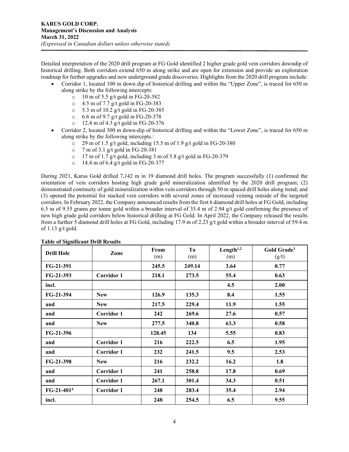Detailed interpretation of the 2020 drill program at FG Gold identified 2 higher grade gold vein corridors downdip of historical drilling. Both corridors extend 650 m along strike and are open for extension and provide an exploration roadmap for further upgrades and new underground grade discoveries. Highlights from the 2020 drill program include:

- Corridor 1, located 100 m down dip of historical drilling and within the "Upper Zone", is traced for 650 m along strike by the following intercepts:
	- o 10 m of 5.5 g/t gold in FG-20-382<br>
	o 4.5 m of 7.7 g/t gold in FG-20-383
	- $\circ$  4.5 m of 7.7 g/t gold in FG-20-383<br> $\circ$  5.3 m of 10.2 g/t gold in FG-20-383
	- 5.3 m of 10.2 g/t gold in FG-20-385
	-
	- $\circ$  6.6 m of 9.7 g/t gold in FG-20-378<br> $\circ$  12.4 m of 4.3 g/t gold in FG-20-370 12.4 m of 4.3 g/t gold in FG-20-376
- Corridor 2, located 300 m down-dip of historical drilling and within the "Lower Zone", is traced for 650 m along strike by the following intercepts.:
	- $\degree$  29 m of 1.5 g/t gold, including 15.5 m of 1.9 g/t gold in FG-20-380
	- o 7 m of 3.1 g/t gold in FG-20-381
	- o 17 m of 1.7 g/t gold, including 3 m of 5.8 g/t gold in FG-20-379
	- o 14.4 m of 6.4 g/t gold in FG-20-377

During 2021, Karus Gold drilled 7,142 m in 19 diamond drill holes. The program successfully (1) confirmed the orientation of vein corridors hosting high grade gold mineralization identified by the 2020 drill program; (2) demonstrated continuity of gold mineralization within vein corridors through 50 m spaced drill holes along trend; and (3) opened the potential for stacked vein corridors with several zones of increased veining outside of the targeted corridors. In February 2022, the Company announced results from the first 6 diamond drill holes at FG Gold, including 6.5 m of 9.55 grams per tonne gold within a broader interval of 35.4 m of 2.94 g/t gold confirming the presence of new high grade gold corridors below historical drilling at FG Gold. In April 2022, the Company released the results from a further 5 diamond drill holes at FG Gold, including 17.9 m of 2.23 g/t gold within a broader interval of 59.4 m of  $1.13$  g/t gold.

| <b>Drill Hole</b> | Zone              | From<br>(m) | T <sub>0</sub><br>(m) | Length $1,2$<br>(m) | Gold Grade <sup>3</sup><br>(g/t) |
|-------------------|-------------------|-------------|-----------------------|---------------------|----------------------------------|
| FG-21-391         |                   | 245.5       | 249.14                | 3.64                | 0.77                             |
| FG-21-393         | <b>Corridor 1</b> | 218.1       | 273.5                 | 55.4                | 0.63                             |
| incl.             |                   |             |                       | 4.5                 | 2.00                             |
| FG-21-394         | <b>New</b>        | 126.9       | 135.3                 | 8.4                 | 1.55                             |
| and               | <b>New</b>        | 217.5       | 229.4                 | 11.9                | 1.55                             |
| and               | <b>Corridor 1</b> | 242         | 269.6                 | 27.6                | 0.57                             |
| and               | <b>New</b>        | 277.5       | 340.8                 | 63.3                | 0.58                             |
| FG-21-396         |                   | 128.45      | 134                   | 5.55                | 0.83                             |
| and               | <b>Corridor 1</b> | 216         | 222.5                 | 6.5                 | 1.95                             |
| and               | <b>Corridor 1</b> | 232         | 241.5                 | 9.5                 | 2.53                             |
| FG-21-398         | <b>New</b>        | 216         | 232.2                 | 16.2                | 1.8                              |
| and               | <b>Corridor 1</b> | 241         | 258.8                 | 17.8                | 0.69                             |
| and               | <b>Corridor 1</b> | 267.1       | 301.4                 | 34.3                | 0.51                             |
| $FG-21-4014$      | <b>Corridor 1</b> | 248         | 283.4                 | 35.4                | 2.94                             |
| incl.             |                   | 248         | 254.5                 | 6.5                 | 9.55                             |

# **Table of Significant Drill Results**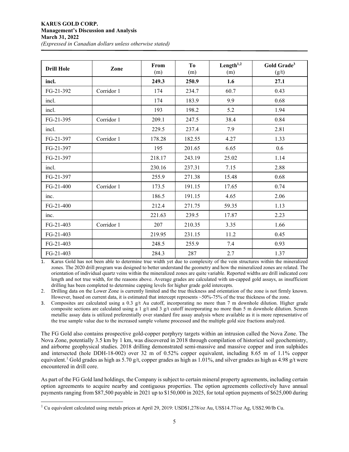| <b>Drill Hole</b> | Zone       | From<br>(m) | T <sub>o</sub><br>(m) | Length $1,2$<br>(m) | Gold Grade <sup>3</sup><br>(g/t) |
|-------------------|------------|-------------|-----------------------|---------------------|----------------------------------|
| incl.             |            | 249.3       | 250.9                 | 1.6                 | 27.1                             |
| FG-21-392         | Corridor 1 | 174         | 234.7                 | 60.7                | 0.43                             |
| incl.             |            | 174         | 183.9                 | 9.9                 | 0.68                             |
| incl.             |            | 193         | 198.2                 | 5.2                 | 1.94                             |
| FG-21-395         | Corridor 1 | 209.1       | 247.5                 | 38.4                | 0.84                             |
| incl.             |            | 229.5       | 237.4                 | 7.9                 | 2.81                             |
| FG-21-397         | Corridor 1 | 178.28      | 182.55                | 4.27                | 1.33                             |
| FG-21-397         |            | 195         | 201.65                | 6.65                | 0.6                              |
| FG-21-397         |            | 218.17      | 243.19                | 25.02               | 1.14                             |
| incl.             |            | 230.16      | 237.31                | 7.15                | 2.88                             |
| FG-21-397         |            | 255.9       | 271.38                | 15.48               | 0.68                             |
| FG-21-400         | Corridor 1 | 173.5       | 191.15                | 17.65               | 0.74                             |
| inc.              |            | 186.5       | 191.15                | 4.65                | 2.06                             |
| FG-21-400         |            | 212.4       | 271.75                | 59.35               | 1.13                             |
| inc.              |            | 221.63      | 239.5                 | 17.87               | 2.23                             |
| FG-21-403         | Corridor 1 | 207         | 210.35                | 3.35                | 1.66                             |
| FG-21-403         |            | 219.95      | 231.15                | 11.2                | 0.45                             |
| FG-21-403         |            | 248.5       | 255.9                 | 7.4                 | 0.93                             |
| FG-21-403         |            | 284.3       | 287                   | 2.7                 | 1.37                             |

1. Karus Gold has not been able to determine true width yet due to complexity of the vein structures within the mineralized zones. The 2020 drill program was designed to better understand the geometry and how the mineralized zones are related. The orientation of individual quartz veins within the mineralized zones are quite variable. Reported widths are drill indicated core length and not true width, for the reasons above. Average grades are calculated with un-capped gold assays, as insufficient drilling has been completed to determine capping levels for higher grade gold intercepts.

2. Drilling data on the Lower Zone is currently limited and the true thickness and orientation of the zone is not firmly known. However, based on current data, it is estimated that intercept represents ~50%-75% of the true thickness of the zone.

3. Composites are calculated using a 0.3  $g/t$  Au cutoff, incorporating no more than 7 m downhole dilution. Higher grade composite sections are calculated using a 1 g/t and 3 g/t cutoff incorporating no more than 5 m downhole dilution. Screen metallic assay data is utilized preferentially over standard fire assay analysis where available as it is more representative of the true sample value due to the increased sample volume processed and the multiple gold size fractions analyzed.

The FG Gold also contains prospective gold-copper porphyry targets within an intrusion called the Nova Zone. The Nova Zone, potentially 3.5 km by 1 km, was discovered in 2018 through compilation of historical soil geochemistry, and airborne geophysical studies. 2018 drilling demonstrated semi-massive and massive copper and iron sulphides and intersected (hole DDH-18-002) over 32 m of 0.52% copper equivalent, including 8.65 m of 1.1% copper equivalent.<sup>[1](#page-4-0)</sup> Gold grades as high as 5.70 g/t, copper grades as high as 1.01%, and silver grades as high as 4.98 g/t were encountered in drill core.

As part of the FG Gold land holdings, the Company is subject to certain mineral property agreements, including certain option agreements to acquire nearby and contiguous properties. The option agreements collectively have annual payments ranging from \$87,500 payable in 2021 up to \$150,000 in 2025, for total option payments of \$625,000 during

<span id="page-4-0"></span><sup>&</sup>lt;sup>1</sup> Cu equivalent calculated using metals prices at April 29, 2019: USD\$1,278/oz Au, US\$14.77/oz Ag, US\$2.90/lb Cu.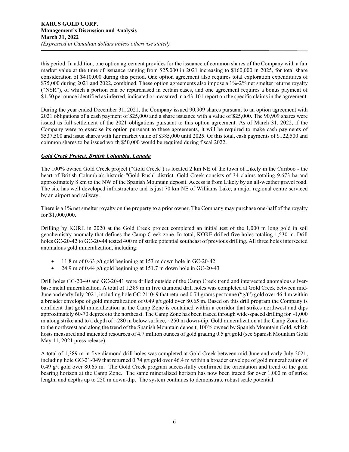this period. In addition, one option agreement provides for the issuance of common shares of the Company with a fair market value at the time of issuance ranging from \$25,000 in 2021 increasing to \$160,000 in 2025, for total share consideration of \$410,000 during this period. One option agreement also requires total exploration expenditures of \$75,000 during 2021 and 2022, combined. These option agreements also impose a 1%-2% net smelter returns royalty ("NSR"), of which a portion can be repurchased in certain cases, and one agreement requires a bonus payment of \$1.50 per ounce identified as inferred, indicated or measured in a 43-101 report on the specific claims in the agreement.

During the year ended December 31, 2021, the Company issued 90,909 shares pursuant to an option agreement with 2021 obligations of a cash payment of \$25,000 and a share issuance with a value of \$25,000. The 90,909 shares were issued as full settlement of the 2021 obligations pursuant to this option agreement. As of March 31, 2022, if the Company were to exercise its option pursuant to these agreements, it will be required to make cash payments of \$537,500 and issue shares with fair market value of \$385,000 until 2025. Of this total, cash payments of \$122,500 and common shares to be issued worth \$50,000 would be required during fiscal 2022.

## *Gold Creek Project, British Columbia, Canada*

The 100% owned Gold Creek project ("Gold Creek") is located 2 km NE of the town of Likely in the Cariboo - the heart of British Columbia's historic "Gold Rush" district. Gold Creek consists of 34 claims totaling 9,673 ha and approximately 8 km to the NW of the Spanish Mountain deposit. Access is from Likely by an all-weather gravel road. The site has well developed infrastructure and is just 70 km NE of Williams Lake, a major regional centre serviced by an airport and railway.

There is a 1% net smelter royalty on the property to a prior owner. The Company may purchase one-half of the royalty for \$1,000,000.

Drilling by KORE in 2020 at the Gold Creek project completed an initial test of the 1,000 m long gold in soil geochemistry anomaly that defines the Camp Creek zone. In total, KORE drilled five holes totaling 1,530 m. Drill holes GC-20-42 to GC-20-44 tested 400 m of strike potential southeast of previous drilling. All three holes intersected anomalous gold mineralization, including:

- 11.8 m of 0.63 g/t gold beginning at 153 m down hole in GC-20-42
- 24.9 m of 0.44 g/t gold beginning at 151.7 m down hole in GC-20-43

Drill holes GC-20-40 and GC-20-41 were drilled outside of the Camp Creek trend and intersected anomalous silverbase metal mineralization. A total of 1,389 m in five diamond drill holes was completed at Gold Creek between mid-June and early July 2021, including hole GC-21-049 that returned 0.74 grams per tonne ("g/t") gold over 46.4 m within a broader envelope of gold mineralization of 0.49  $g/t$  gold over 80.65 m. Based on this drill program the Company is confident that gold mineralization at the Camp Zone is contained within a corridor that strikes northwest and dips approximately 60-70 degrees to the northeast. The Camp Zone has been traced through wide-spaced drilling for  $\sim$ 1,000 m along strike and to a depth of  $\sim$ 280 m below surface,  $\sim$ 250 m down-dip. Gold mineralization at the Camp Zone lies to the northwest and along the trend of the Spanish Mountain deposit, 100% owned by Spanish Mountain Gold, which hosts measured and indicated resources of 4.7 million ounces of gold grading 0.5 g/t gold (see Spanish Mountain Gold May 11, 2021 press release).

A total of 1,389 m in five diamond drill holes was completed at Gold Creek between mid-June and early July 2021, including hole GC-21-049 that returned 0.74 g/t gold over 46.4 m within a broader envelope of gold mineralization of 0.49 g/t gold over 80.65 m. The Gold Creek program successfully confirmed the orientation and trend of the gold bearing horizon at the Camp Zone. The same mineralized horizon has now been traced for over 1,000 m of strike length, and depths up to 250 m down-dip. The system continues to demonstrate robust scale potential.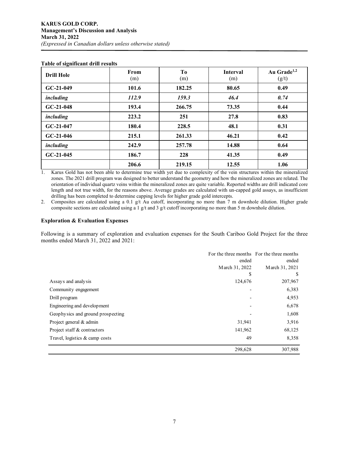| <b>Drill Hole</b> | From<br>(m) | To<br>(m) | <b>Interval</b><br>(m) | Au Grade <sup>1,2</sup><br>(g/t) |
|-------------------|-------------|-----------|------------------------|----------------------------------|
| $GC-21-049$       | 101.6       | 182.25    | 80.65                  | 0.49                             |
| including         | 112.9       | 159.3     | 46.4                   | 0.74                             |
| $GC-21-048$       | 193.4       | 266.75    | 73.35                  | 0.44                             |
| including         | 223.2       | 251       | 27.8                   | 0.83                             |
| $GC-21-047$       | 180.4       | 228.5     | 48.1                   | 0.31                             |
| $GC-21-046$       | 215.1       | 261.33    | 46.21                  | 0.42                             |
| including         | 242.9       | 257.78    | 14.88                  | 0.64                             |
| $GC-21-045$       | 186.7       | 228       | 41.35                  | 0.49                             |
|                   | 206.6       | 219.15    | 12.55                  | 1.06                             |

#### **Table of significant drill results**

1. Karus Gold has not been able to determine true width yet due to complexity of the vein structures within the mineralized zones. The 2021 drill program was designed to better understand the geometry and how the mineralized zones are related. The orientation of individual quartz veins within the mineralized zones are quite variable. Reported widths are drill indicated core length and not true width, for the reasons above. Average grades are calculated with un-capped gold assays, as insufficient drilling has been completed to determine capping levels for higher grade gold intercepts.

2. Composites are calculated using a 0.1 g/t Au cutoff, incorporating no more than 7 m downhole dilution. Higher grade composite sections are calculated using a 1  $g/t$  and 3  $g/t$  cutoff incorporating no more than 5 m downhole dilution.

### **Exploration & Evaluation Expenses**

Following is a summary of exploration and evaluation expenses for the South Cariboo Gold Project for the three months ended March 31, 2022 and 2021:

|                                   |                | For the three months For the three months |
|-----------------------------------|----------------|-------------------------------------------|
|                                   | ended          | ended                                     |
|                                   | March 31, 2022 | March 31, 2021                            |
|                                   | S              | <sup>3</sup>                              |
| Assays and analysis               | 124,676        | 207,967                                   |
| Community engagement              |                | 6,383                                     |
| Drill program                     |                | 4,953                                     |
| Engineering and development       |                | 6,678                                     |
| Geophysics and ground prospecting |                | 1,608                                     |
| Project general & admin           | 31,941         | 3,916                                     |
| Project staff & contractors       | 141,962        | 68,125                                    |
| Travel, logistics & camp costs    | 49             | 8,358                                     |
|                                   | 298,628        | 307,988                                   |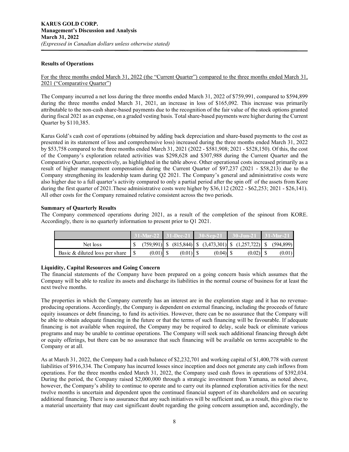## **Results of Operations**

## For the three months ended March 31, 2022 (the "Current Quarter") compared to the three months ended March 31, 2021 ("Comparative Quarter")

The Company incurred a net loss during the three months ended March 31, 2022 of \$759,991, compared to \$594,899 during the three months ended March 31, 2021, an increase in loss of \$165,092. This increase was primarily attributable to the non-cash share-based payments due to the recognition of the fair value of the stock options granted during fiscal 2021 as an expense, on a graded vesting basis. Total share-based payments were higher during the Current Quarter by \$110,385.

Karus Gold's cash cost of operations (obtained by adding back depreciation and share-based payments to the cost as presented in its statement of loss and comprehensive loss) increased during the three months ended March 31, 2022 by \$53,758 compared to the three months ended March 31, 2021 (2022 - \$581,908; 2021 - \$528,150). Of this, the cost of the Company's exploration related activities was \$298,628 and \$307,988 during the Current Quarter and the Comparative Quarter, respectively, as highlighted in the table above. Other operational costs increased primarily as a result of higher management compensation during the Current Quarter of \$97,237 (2021 - \$58,213) due to the Company strengthening its leadership team during Q2 2021. The Company's general and administrative costs were also higher due to a full quarter's activity compared to only a partial period after the spin off of the assets from Kore during the first quarter of 2021. These administrative costs were higher by \$36,112 (2022 - \$62,253; 2021 - \$26,141). All other costs for the Company remained relative consistent across the two periods.

## **Summary of Quarterly Results**

The Company commenced operations during 2021, as a result of the completion of the spinout from KORE. Accordingly, there is no quarterly information to present prior to Q1 2021.

|                                |             |  |            | $31-Mar-22$   $31-Dec-21$   $30-Sen-21$   $30-Jun-21$   $31-Mar-21$         |        |
|--------------------------------|-------------|--|------------|-----------------------------------------------------------------------------|--------|
| Net loss                       |             |  |            | $(759,991)$ \, $(815,844)$ \, $(3,473,301)$ \, $(1,257,722)$ \, $(594,899)$ |        |
| Basic & diluted loss per share | $(0.01)$ \$ |  | $(0.04)$ S |                                                                             | (0.01) |

#### **Liquidity, Capital Resources and Going Concern**

The financial statements of the Company have been prepared on a going concern basis which assumes that the Company will be able to realize its assets and discharge its liabilities in the normal course of business for at least the next twelve months.

The properties in which the Company currently has an interest are in the exploration stage and it has no revenueproducing operations. Accordingly, the Company is dependent on external financing, including the proceeds of future equity issuances or debt financing, to fund its activities. However, there can be no assurance that the Company will be able to obtain adequate financing in the future or that the terms of such financing will be favourable. If adequate financing is not available when required, the Company may be required to delay, scale back or eliminate various programs and may be unable to continue operations. The Company will seek such additional financing through debt or equity offerings, but there can be no assurance that such financing will be available on terms acceptable to the Company or at all.

As at March 31, 2022, the Company had a cash balance of \$2,232,701 and working capital of \$1,400,778 with current liabilities of \$916,334. The Company has incurred losses since inception and does not generate any cash inflows from operations. For the three months ended March 31, 2022, the Company used cash flows in operations of \$392,034. During the period, the Company raised \$2,000,000 through a strategic investment from Yamana, as noted above, however, the Company's ability to continue to operate and to carry out its planned exploration activities for the next twelve months is uncertain and dependent upon the continued financial support of its shareholders and on securing additional financing. There is no assurance that any such initiatives will be sufficient and, as a result, this gives rise to a material uncertainty that may cast significant doubt regarding the going concern assumption and, accordingly, the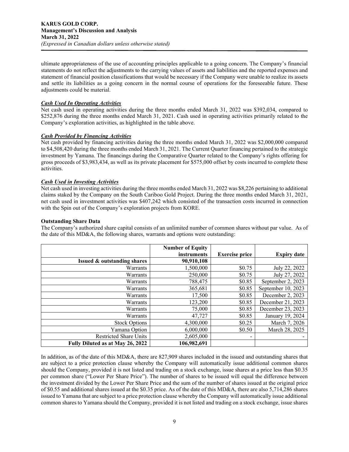ultimate appropriateness of the use of accounting principles applicable to a going concern. The Company's financial statements do not reflect the adjustments to the carrying values of assets and liabilities and the reported expenses and statement of financial position classifications that would be necessary if the Company were unable to realize its assets and settle its liabilities as a going concern in the normal course of operations for the foreseeable future. These adjustments could be material.

## *Cash Used In Operating Activities*

Net cash used in operating activities during the three months ended March 31, 2022 was \$392,034, compared to \$252,876 during the three months ended March 31, 2021. Cash used in operating activities primarily related to the Company's exploration activities, as highlighted in the table above.

## *Cash Provided by Financing Activities*

Net cash provided by financing activities during the three months ended March 31, 2022 was \$2,000,000 compared to \$4,508,420 during the three months ended March 31, 2021. The Current Quarter financing pertained to the strategic investment by Yamana. The financings during the Comparative Quarter related to the Company's rights offering for gross proceeds of \$3,983,434, as well as its private placement for \$575,000 offset by costs incurred to complete these activities.

## *Cash Used in Investing Activities*

Net cash used in investing activities during the three months ended March 31, 2022 was \$8,226 pertaining to additional claims staked by the Company on the South Cariboo Gold Project. During the three months ended March 31, 2021, net cash used in investment activities was \$407,242 which consisted of the transaction costs incurred in connection with the Spin out of the Company's exploration projects from KORE.

## **Outstanding Share Data**

The Company's authorized share capital consists of an unlimited number of common shares without par value. As of the date of this MD&A, the following shares, warrants and options were outstanding:

|                                        | <b>Number of Equity</b> |                       |                    |
|----------------------------------------|-------------------------|-----------------------|--------------------|
|                                        | instruments             | <b>Exercise price</b> | <b>Expiry date</b> |
| <b>Issued &amp; outstanding shares</b> | 90,910,108              |                       |                    |
| Warrants                               | 1,500,000               | \$0.75                | July 22, 2022      |
| Warrants                               | 250,000                 | \$0.75                | July 27, 2022      |
| Warrants                               | 788,475                 | \$0.85                | September 2, 2023  |
| Warrants                               | 365,681                 | \$0.85                | September 10, 2023 |
| Warrants                               | 17,500                  | \$0.85                | December 2, 2023   |
| Warrants                               | 123,200                 | \$0.85                | December 21, 2023  |
| Warrants                               | 75,000                  | \$0.85                | December 23, 2023  |
| Warrants                               | 47,727                  | \$0.85                | January 19, 2024   |
| <b>Stock Options</b>                   | 4,300,000               | \$0.25                | March 7, 2026      |
| Yamana Option                          | 6,000,000               | \$0.50                | March 28, 2025     |
| <b>Restricted Share Units</b>          | 2,605,000               |                       |                    |
| Fully Diluted as at May 26, 2022       | 106,982,691             |                       |                    |

In addition, as of the date of this MD&A, there are 827,909 shares included in the issued and outstanding shares that are subject to a price protection clause whereby the Company will automatically issue additional common shares should the Company, provided it is not listed and trading on a stock exchange, issue shares at a price less than \$0.35 per common share ("Lower Per Share Price"). The number of shares to be issued will equal the difference between the investment divided by the Lower Per Share Price and the sum of the number of shares issued at the original price of \$0.55 and additional shares issued at the \$0.35 price. As of the date of this MD&A, there are also 5,714,286 shares issued to Yamana that are subject to a price protection clause whereby the Company will automatically issue additional common shares to Yamana should the Company, provided it is not listed and trading on a stock exchange, issue shares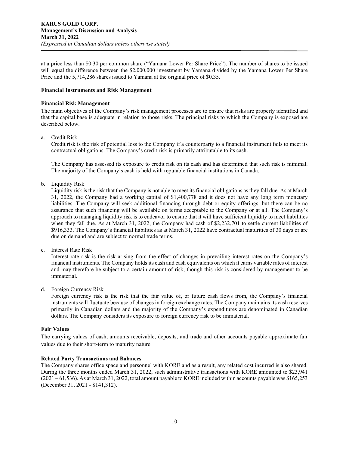at a price less than \$0.30 per common share ("Yamana Lower Per Share Price"). The number of shares to be issued will equal the difference between the \$2,000,000 investment by Yamana divided by the Yamana Lower Per Share Price and the 5,714,286 shares issued to Yamana at the original price of \$0.35.

## **Financial Instruments and Risk Management**

## **Financial Risk Management**

The main objectives of the Company's risk management processes are to ensure that risks are properly identified and that the capital base is adequate in relation to those risks. The principal risks to which the Company is exposed are described below.

## a. Credit Risk

Credit risk is the risk of potential loss to the Company if a counterparty to a financial instrument fails to meet its contractual obligations. The Company's credit risk is primarily attributable to its cash.

The Company has assessed its exposure to credit risk on its cash and has determined that such risk is minimal. The majority of the Company's cash is held with reputable financial institutions in Canada.

b. Liquidity Risk

Liquidity risk is the risk that the Company is not able to meet its financial obligations as they fall due. As at March 31, 2022, the Company had a working capital of \$1,400,778 and it does not have any long term monetary liabilities. The Company will seek additional financing through debt or equity offerings, but there can be no assurance that such financing will be available on terms acceptable to the Company or at all. The Company's approach to managing liquidity risk is to endeavor to ensure that it will have sufficient liquidity to meet liabilities when they fall due. As at March 31, 2022, the Company had cash of \$2,232,701 to settle current liabilities of \$916,333. The Company's financial liabilities as at March 31, 2022 have contractual maturities of 30 days or are due on demand and are subject to normal trade terms.

c. Interest Rate Risk

Interest rate risk is the risk arising from the effect of changes in prevailing interest rates on the Company's financial instruments. The Company holds its cash and cash equivalents on which it earns variable rates of interest and may therefore be subject to a certain amount of risk, though this risk is considered by management to be immaterial.

d. Foreign Currency Risk

Foreign currency risk is the risk that the fair value of, or future cash flows from, the Company's financial instruments will fluctuate because of changes in foreign exchange rates. The Company maintains its cash reserves primarily in Canadian dollars and the majority of the Company's expenditures are denominated in Canadian dollars. The Company considers its exposure to foreign currency risk to be immaterial.

## **Fair Values**

The carrying values of cash, amounts receivable, deposits, and trade and other accounts payable approximate fair values due to their short-term to maturity nature.

#### **Related Party Transactions and Balances**

The Company shares office space and personnel with KORE and as a result, any related cost incurred is also shared. During the three months ended March 31, 2022, such administrative transactions with KORE amounted to \$23,941 (2021 – 61,536). As at March 31, 2022, total amount payable to KORE included within accounts payable was \$165,253 (December 31, 2021 - \$141,312).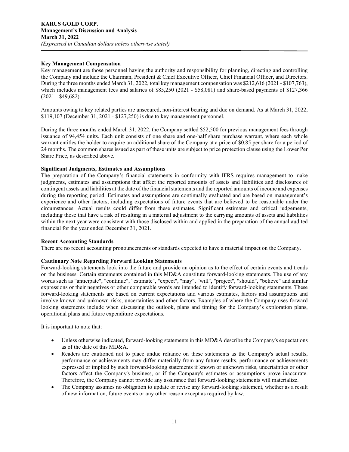## **Key Management Compensation**

Key management are those personnel having the authority and responsibility for planning, directing and controlling the Company and include the Chairman, President & Chief Executive Officer, Chief Financial Officer, and Directors. During the three months ended March 31, 2022, total key management compensation was \$212,616 (2021 - \$107,763), which includes management fees and salaries of \$85,250 (2021 - \$58,081) and share-based payments of \$127,366 (2021 - \$49,682).

Amounts owing to key related parties are unsecured, non-interest bearing and due on demand. As at March 31, 2022, \$119,107 (December 31, 2021 - \$127,250) is due to key management personnel.

During the three months ended March 31, 2022, the Company settled \$52,500 for previous management fees through issuance of 94,454 units. Each unit consists of one share and one-half share purchase warrant, where each whole warrant entitles the holder to acquire an additional share of the Company at a price of \$0.85 per share for a period of 24 months. The common shares issued as part of these units are subject to price protection clause using the Lower Per Share Price, as described above.

### **Significant Judgments, Estimates and Assumptions**

The preparation of the Company's financial statements in conformity with IFRS requires management to make judgments, estimates and assumptions that affect the reported amounts of assets and liabilities and disclosures of contingent assets and liabilities at the date of the financial statements and the reported amounts of income and expenses during the reporting period. Estimates and assumptions are continually evaluated and are based on management's experience and other factors, including expectations of future events that are believed to be reasonable under the circumstances. Actual results could differ from these estimates. Significant estimates and critical judgements, including those that have a risk of resulting in a material adjustment to the carrying amounts of assets and liabilities within the next year were consistent with those disclosed within and applied in the preparation of the annual audited financial for the year ended December 31, 2021.

## **Recent Accounting Standards**

There are no recent accounting pronouncements or standards expected to have a material impact on the Company.

## **Cautionary Note Regarding Forward Looking Statements**

Forward-looking statements look into the future and provide an opinion as to the effect of certain events and trends on the business. Certain statements contained in this MD&A constitute forward-looking statements. The use of any words such as "anticipate", "continue", "estimate", "expect", "may", "will", "project", "should", "believe" and similar expressions or their negatives or other comparable words are intended to identify forward-looking statements. These forward-looking statements are based on current expectations and various estimates, factors and assumptions and involve known and unknown risks, uncertainties and other factors. Examples of where the Company uses forward looking statements include when discussing the outlook, plans and timing for the Company's exploration plans, operational plans and future expenditure expectations.

It is important to note that:

- Unless otherwise indicated, forward-looking statements in this MD&A describe the Company's expectations as of the date of this MD&A.
- Readers are cautioned not to place undue reliance on these statements as the Company's actual results, performance or achievements may differ materially from any future results, performance or achievements expressed or implied by such forward-looking statements if known or unknown risks, uncertainties or other factors affect the Company's business, or if the Company's estimates or assumptions prove inaccurate. Therefore, the Company cannot provide any assurance that forward-looking statements will materialize.
- The Company assumes no obligation to update or revise any forward-looking statement, whether as a result of new information, future events or any other reason except as required by law.